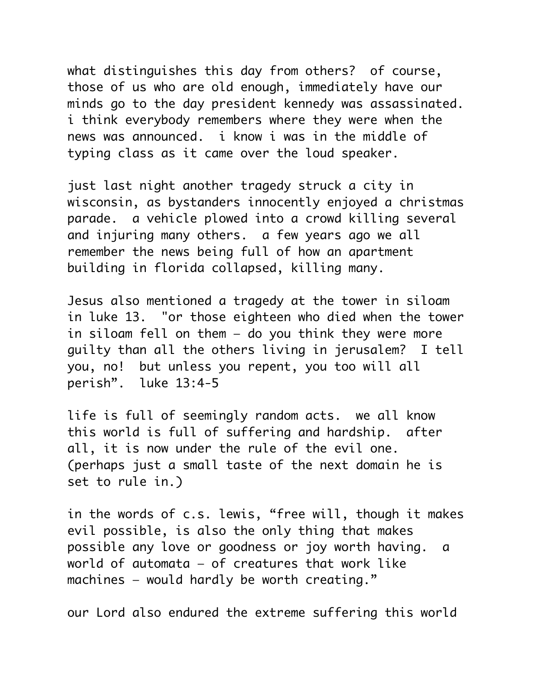what distinguishes this day from others? of course, those of us who are old enough, immediately have our minds go to the day president kennedy was assassinated. i think everybody remembers where they were when the news was announced. i know i was in the middle of typing class as it came over the loud speaker.

just last night another tragedy struck a city in wisconsin, as bystanders innocently enjoyed a christmas parade. a vehicle plowed into a crowd killing several and injuring many others. a few years ago we all remember the news being full of how an apartment building in florida collapsed, killing many.

Jesus also mentioned a tragedy at the tower in siloam in luke 13. "or those eighteen who died when the tower in siloam fell on them — do you think they were more guilty than all the others living in jerusalem? I tell you, no! but unless you repent, you too will all perish". luke 13:4-5

life is full of seemingly random acts. we all know this world is full of suffering and hardship. after all, it is now under the rule of the evil one. (perhaps just a small taste of the next domain he is set to rule in.)

in the words of c.s. lewis, "free will, though it makes evil possible, is also the only thing that makes possible any love or goodness or joy worth having. a world of automata — of creatures that work like machines — would hardly be worth creating."

our Lord also endured the extreme suffering this world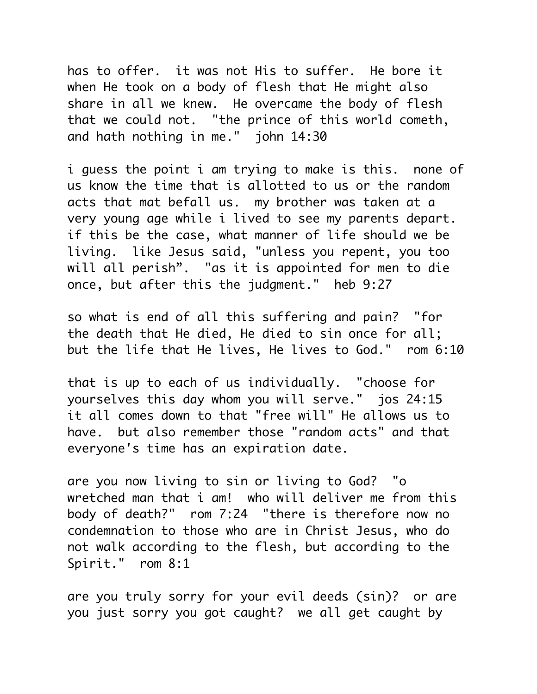has to offer. it was not His to suffer. He bore it when He took on a body of flesh that He might also share in all we knew. He overcame the body of flesh that we could not. "the prince of this world cometh, and hath nothing in me." john 14:30

i guess the point i am trying to make is this. none of us know the time that is allotted to us or the random acts that mat befall us. my brother was taken at a very young age while i lived to see my parents depart. if this be the case, what manner of life should we be living. like Jesus said, "unless you repent, you too will all perish". "as it is appointed for men to die once, but after this the judgment." heb 9:27

so what is end of all this suffering and pain? "for the death that He died, He died to sin once for all; but the life that He lives, He lives to God." rom 6:10

that is up to each of us individually. "choose for yourselves this day whom you will serve." jos 24:15 it all comes down to that "free will" He allows us to have. but also remember those "random acts" and that everyone's time has an expiration date.

are you now living to sin or living to God? "o wretched man that i am! who will deliver me from this body of death?" rom 7:24 "there is therefore now no condemnation to those who are in Christ Jesus, who do not walk according to the flesh, but according to the Spirit." rom 8:1

are you truly sorry for your evil deeds (sin)? or are you just sorry you got caught? we all get caught by